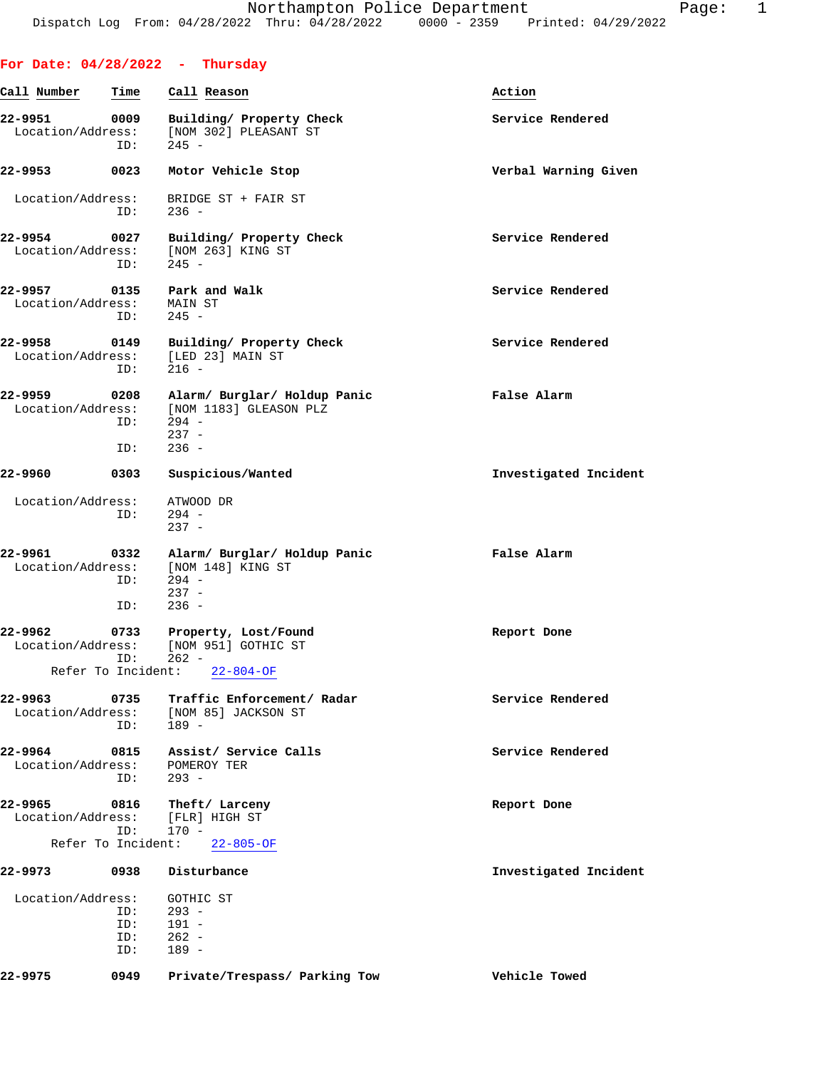|                                                    |                          | For Date: $04/28/2022 - Thursday$                                                       |                       |
|----------------------------------------------------|--------------------------|-----------------------------------------------------------------------------------------|-----------------------|
| Call Number                                        | Time                     | Call Reason                                                                             | Action                |
| 22-9951<br>Location/Address:                       | 0009<br>ID:              | Building/ Property Check<br>[NOM 302] PLEASANT ST<br>$245 -$                            | Service Rendered      |
| 22-9953                                            | 0023                     | Motor Vehicle Stop                                                                      | Verbal Warning Given  |
| Location/Address:                                  | ID:                      | BRIDGE ST + FAIR ST<br>$236 -$                                                          |                       |
| 22-9954 0027<br>Location/Address:                  | ID:                      | Building/ Property Check<br>[NOM 263] KING ST<br>$245 -$                                | Service Rendered      |
| Location/Address:                                  | ID:                      | 22-9957 0135 Park and Walk<br>MAIN ST<br>$245 -$                                        | Service Rendered      |
| 22-9958<br>Location/Address:                       | 0149<br>ID:              | Building/ Property Check<br>[LED 23] MAIN ST<br>$216 -$                                 | Service Rendered      |
| 22-9959<br>Location/Address:                       | 0208<br>ID:<br>ID:       | Alarm/ Burglar/ Holdup Panic<br>[NOM 1183] GLEASON PLZ<br>$294 -$<br>$237 -$<br>$236 -$ | False Alarm           |
| 22-9960                                            | 0303                     | Suspicious/Wanted                                                                       | Investigated Incident |
| Location/Address:                                  | ID:                      | ATWOOD DR<br>$294 -$<br>$237 -$                                                         |                       |
| 22-9961<br>Location/Address:                       | 0332<br>ID:<br>ID:       | Alarm/ Burglar/ Holdup Panic<br>[NOM 148] KING ST<br>$294 -$<br>$237 -$<br>$236 -$      | False Alarm           |
| 22–9962<br>Location/Address:<br>Refer To Incident: | 0733<br>ID:              | Property, Lost/Found<br>[NOM 951] GOTHIC ST<br>$262 -$<br>$22 - 804 - OF$               | Report Done           |
| 22-9963<br>Location/Address:                       | 0735<br>ID:              | Traffic Enforcement/ Radar<br>[NOM 85] JACKSON ST<br>$189 -$                            | Service Rendered      |
| 22-9964<br>Location/Address:                       | 0815<br>ID:              | Assist/ Service Calls<br>POMEROY TER<br>$293 -$                                         | Service Rendered      |
| 22-9965<br>Location/Address:                       | 0816<br>ID:              | Theft/ Larceny<br>[FLR] HIGH ST<br>$170 -$                                              | Report Done           |
| Refer To Incident:<br>22-9973                      | 0938                     | $22 - 805 - OF$<br>Disturbance                                                          | Investigated Incident |
|                                                    |                          |                                                                                         |                       |
| Location/Address:                                  | ID:<br>ID:<br>ID:<br>ID: | GOTHIC ST<br>$293 -$<br>$191 -$<br>$262 -$<br>$189 -$                                   |                       |
| 22-9975                                            | 0949                     | Private/Trespass/ Parking Tow                                                           | Vehicle Towed         |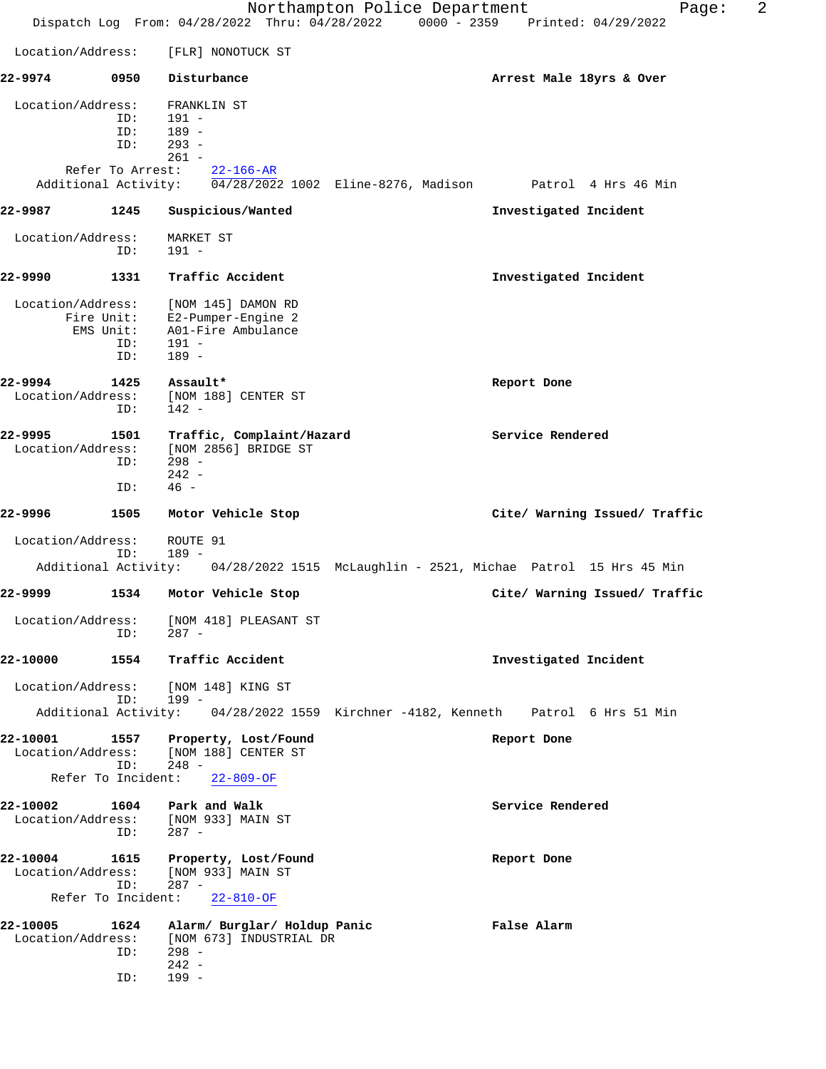Northampton Police Department Fage: 2 Dispatch Log From: 04/28/2022 Thru: 04/28/2022 0000 - 2359 Printed: 04/29/2022 Location/Address: [FLR] NONOTUCK ST **22-9974 0950 Disturbance Arrest Male 18yrs & Over** Location/Address: FRANKLIN ST ID: 191 - ID: 189 - ID: 293 -  $261 -$  Refer To Arrest: 22-166-AR Additional Activity: 04/28/2022 1002 Eline-8276, Madison Patrol 4 Hrs 46 Min **22-9987 1245 Suspicious/Wanted Investigated Incident** Location/Address: MARKET ST ID: 191 - **22-9990 1331 Traffic Accident Investigated Incident** Location/Address: [NOM 145] DAMON RD Fire Unit: E2-Pumper-Engine 2 EMS Unit: A01-Fire Ambulance<br>ID: 191 -ID: 191 -<br>ID: 189 -189 -**22-9994 1425 Assault\* Report Done** Location/Address: [NOM 188] CENTER ST ID: 142 - **22-9995 1501 Traffic, Complaint/Hazard Service Rendered** Location/Address: [NOM 2856] BRIDGE ST ID: 298 -  $242 -$  ID: 46 - **22-9996 1505 Motor Vehicle Stop Cite/ Warning Issued/ Traffic** Location/Address: ROUTE 91 ID: 189 - Additional Activity: 04/28/2022 1515 McLaughlin - 2521, Michae Patrol 15 Hrs 45 Min **22-9999 1534 Motor Vehicle Stop Cite/ Warning Issued/ Traffic** Location/Address: [NOM 418] PLEASANT ST ID: 287 - **22-10000 1554 Traffic Accident Investigated Incident** Location/Address: [NOM 148] KING ST<br>ID: 199 -ID: Additional Activity: 04/28/2022 1559 Kirchner -4182, Kenneth Patrol 6 Hrs 51 Min **22-10001 1557 Property, Lost/Found Report Done** Location/Address: [NOM 188] CENTER ST ID: 248 - Refer To Incident: 22-809-OF 22-10002 1604 Park and Walk **Service Rendered**  Location/Address: [NOM 933] MAIN ST ID: 287 - **22-10004 1615 Property, Lost/Found Report Done** Location/Address: [NOM 933] MAIN ST<br>ID: 287 -ID: Refer To Incident: 22-810-OF **22-10005 1624 Alarm/ Burglar/ Holdup Panic False Alarm** Location/Address: [NOM 673] INDUSTRIAL DR ID: 298 - 242 - ID: 199 -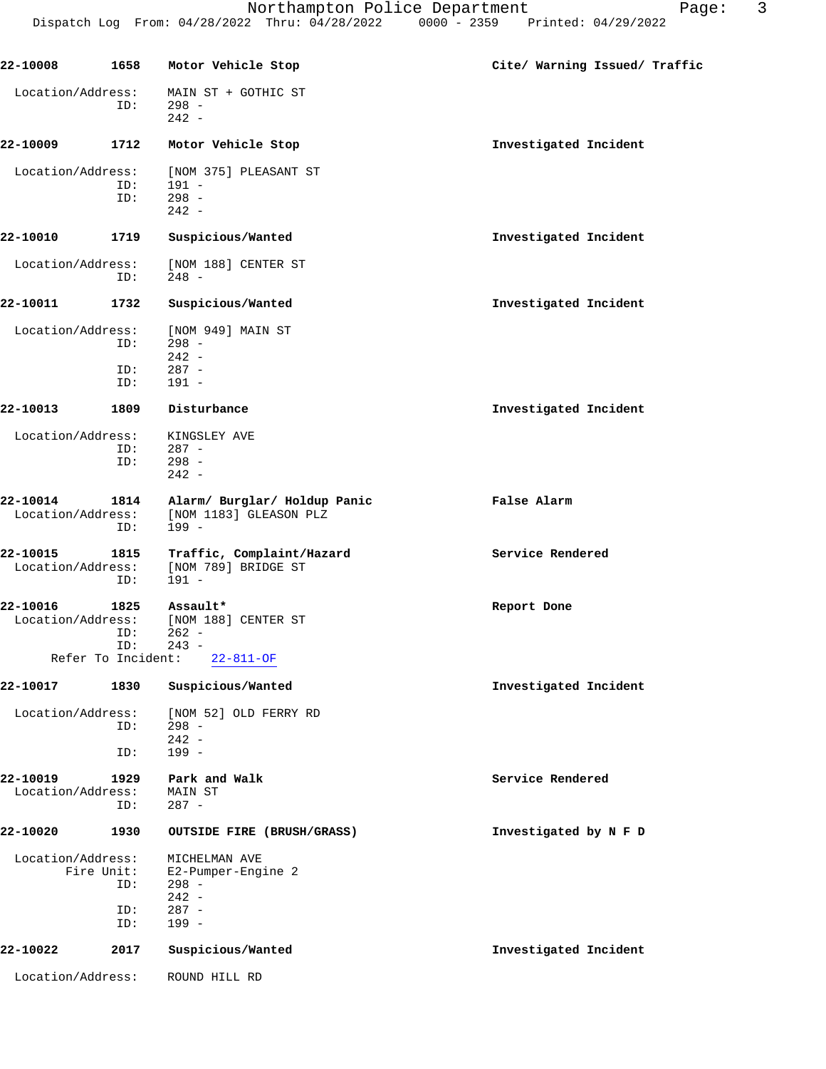| 22-10008          | 1658                      | Motor Vehicle Stop           | Cite/ Warning Issued/ Traffic |
|-------------------|---------------------------|------------------------------|-------------------------------|
| Location/Address: |                           | MAIN ST + GOTHIC ST          |                               |
|                   | ID:                       | $298 -$                      |                               |
|                   |                           | $242 -$                      |                               |
| 22-10009          | 1712                      | Motor Vehicle Stop           | Investigated Incident         |
| Location/Address: |                           | [NOM 375] PLEASANT ST        |                               |
|                   | ID:                       | $191 -$                      |                               |
|                   | ID:                       | $298 -$                      |                               |
|                   |                           | $242 -$                      |                               |
| 22-10010          | 1719                      | Suspicious/Wanted            | Investigated Incident         |
| Location/Address: |                           | [NOM 188] CENTER ST          |                               |
|                   | ID:                       | 248 -                        |                               |
| 22-10011          | 1732                      | Suspicious/Wanted            | Investigated Incident         |
|                   |                           |                              |                               |
| Location/Address: |                           | [NOM 949] MAIN ST            |                               |
|                   | ID:                       | $298 -$                      |                               |
|                   |                           | $242 -$                      |                               |
|                   | ID:                       | $287 -$                      |                               |
|                   | ID:                       | $191 -$                      |                               |
| 22-10013          | 1809                      | Disturbance                  | Investigated Incident         |
| Location/Address: |                           | KINGSLEY AVE                 |                               |
|                   | ID:                       | $287 -$                      |                               |
|                   | ID:                       | $298 -$                      |                               |
|                   |                           | $242 -$                      |                               |
| 22-10014          | 1814                      | Alarm/ Burglar/ Holdup Panic | False Alarm                   |
| Location/Address: |                           | [NOM 1183] GLEASON PLZ       |                               |
|                   | ID:                       | $199 -$                      |                               |
| 22-10015          | 1815                      | Traffic, Complaint/Hazard    | Service Rendered              |
| Location/Address: |                           | [NOM 789] BRIDGE ST          |                               |
|                   | ID:                       | $191 -$                      |                               |
|                   |                           |                              |                               |
| 22-10016          | 1825                      | Assault*                     | Report Done                   |
| Location/Address: |                           | [NOM 188] CENTER ST          |                               |
|                   | ID:                       | $262 -$                      |                               |
|                   | ID:<br>Refer To Incident: | $243 -$<br>$22 - 811 - OF$   |                               |
|                   |                           |                              |                               |
| 22-10017          | 1830                      | Suspicious/Wanted            | Investigated Incident         |
| Location/Address: |                           | [NOM 52] OLD FERRY RD        |                               |
|                   | ID:                       | $298 -$                      |                               |
|                   |                           | $242 -$                      |                               |
|                   | ID:                       | $199 -$                      |                               |
| 22-10019          | 1929                      | Park and Walk                | Service Rendered              |
| Location/Address: |                           | MAIN ST                      |                               |
|                   | ID:                       | $287 -$                      |                               |
| 22-10020          | 1930                      | OUTSIDE FIRE (BRUSH/GRASS)   | Investigated by N F D         |
|                   |                           |                              |                               |
| Location/Address: |                           | MICHELMAN AVE                |                               |
|                   | Fire Unit:                | E2-Pumper-Engine 2           |                               |
|                   | ID:                       | $298 -$                      |                               |
|                   |                           | $242 -$<br>$287 -$           |                               |
|                   | ID:<br>ID:                | $199 -$                      |                               |
|                   |                           |                              |                               |

**22-10022 2017 Suspicious/Wanted Investigated Incident**

Location/Address: ROUND HILL RD